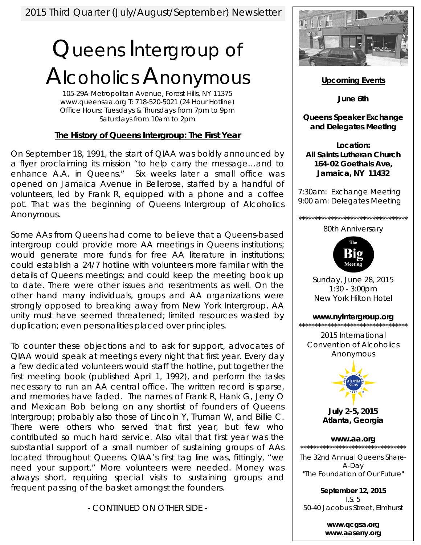# Queens Intergroup of Alcoholics Anonymous

105-29A Metropolitan Avenue, Forest Hills, NY 11375 www.queensaa.org T: 718-520-5021 (24 Hour Hotline) Office Hours: Tuesdays & Thursdays from 7pm to 9pm Saturdays from 10am to 2pm

## **The History of Queens Intergroup: The First Year**

On September 18, 1991, the start of QIAA was boldly announced by a flyer proclaiming its mission "to help carry the message…and to enhance A.A. in Queens." Six weeks later a small office was opened on Jamaica Avenue in Bellerose, staffed by a handful of volunteers, led by Frank R, equipped with a phone and a coffee pot. That was the beginning of Queens Intergroup of Alcoholics Anonymous.

Some AAs from Queens had come to believe that a Queens-based intergroup could provide more AA meetings in Queens institutions; would generate more funds for free AA literature in institutions; could establish a 24/7 hotline with volunteers more familiar with the details of Queens meetings; and could keep the meeting book up to date. There were other issues and resentments as well. On the other hand many individuals, groups and AA organizations were strongly opposed to breaking away from New York Intergroup. AA unity must have seemed threatened; limited resources wasted by duplication; even personalities placed over principles.

To counter these objections and to ask for support, advocates of QIAA would speak at meetings every night that first year. Every day a few dedicated volunteers would staff the hotline, put together the first meeting book (published April 1, 1992), and perform the tasks necessary to run an AA central office. The written record is sparse, and memories have faded. The names of Frank R, Hank G, Jerry O and Mexican Bob belong on any shortlist of founders of Queens Intergroup; probably also those of Lincoln Y, Truman W, and Billie C. There were others who served that first year, but few who contributed so much hard service. Also vital that first year was the substantial support of a small number of sustaining groups of AAs located throughout Queens. QIAA's first tag line was, fittingly, "we need your support." More volunteers were needed. Money was always short, requiring special visits to sustaining groups and frequent passing of the basket amongst the founders.

*- CONTINUED ON OTHER SIDE -* 



**Upcoming Events**

**June 6th** 

**Queens Speaker Exchange and Delegates Meeting** 

**Location: All Saints Lutheran Church 164-02 Goethals Ave, Jamaica, NY 11432**

7:30am: Exchange Meeting 9:00 am: Delegates Meeting

> \*\*\*\*\*\*\*\*\*\*\*\*\*\*\*\*\*\*\*\*\*\*\*\*\*\*\*\*\*\*\*\*\*\* 80th Anniversary



Sunday, June 28, 2015 1:30 - 3:00pm New York Hilton Hotel

### **www.nyintergroup.org**

\*\*\*\*\*\*\*\*\*\*\*\*\*\*\*\*\*\*\*\*\*\*\*\*\*\*\*\*\*\*\*\*\*\* 2015 International Convention of Alcoholics Anonymous



**July 2-5, 2015 Atlanta, Georgia** 

**www.aa.org**

\*\*\*\*\*\*\*\*\*\*\*\*\*\*\*\*\*\*\*\*\*\*\*\*\*\*\*\*\*\*\*\*\* The 32nd Annual Queens Share-A-Day "The Foundation of Our Future"

**September 12, 2015**  I.S. 5 50-40 Jacobus Street, Elmhurst

> **www.qcgsa.org www.aaseny.org**